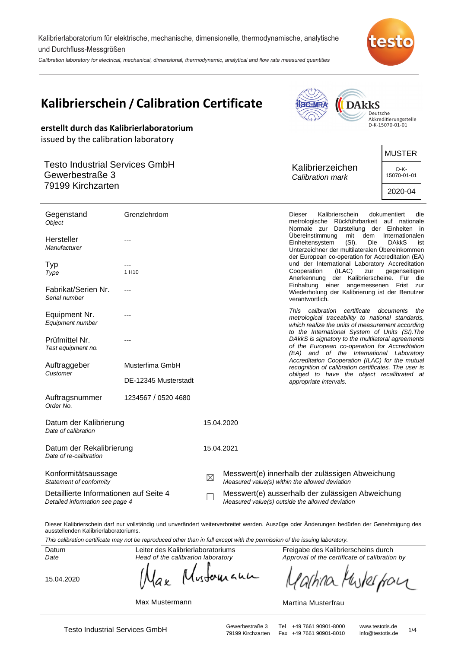Kalibrierlaboratorium für elektrische, mechanische, dimensionelle, thermodynamische, analytische und Durchfluss-Messgrößen

Calibration laboratory for electrical, mechanical, dimensional, thermodynamic, analytical and flow rate measured quantities



| erstellt durch das Kalibrierlaboratorium                                                                              | Kalibrierschein / Calibration Certificate |             |                                                                                                     | <b>acatinA</b><br>$n_{\rm ththW}$                                                                                                                                                                                                                                                                    | <b>DAkkS</b>  | Deutsche<br>Akkreditierungsstelle<br>D-K-15070-01-01                                                                                                                                                                                                                 |
|-----------------------------------------------------------------------------------------------------------------------|-------------------------------------------|-------------|-----------------------------------------------------------------------------------------------------|------------------------------------------------------------------------------------------------------------------------------------------------------------------------------------------------------------------------------------------------------------------------------------------------------|---------------|----------------------------------------------------------------------------------------------------------------------------------------------------------------------------------------------------------------------------------------------------------------------|
| issued by the calibration laboratory<br><b>Testo Industrial Services GmbH</b><br>Gewerbestraße 3<br>79199 Kirchzarten |                                           |             |                                                                                                     | Kalibrierzeichen<br>Calibration mark                                                                                                                                                                                                                                                                 |               | <b>MUSTER</b><br>D-K-<br>15070-01-01<br>2020-04                                                                                                                                                                                                                      |
| Gegenstand<br>Object<br>Hersteller<br>Manufacturer                                                                    | Grenzlehrdorn                             |             |                                                                                                     | Kalibrierschein<br><b>Dieser</b><br>dokumentiert<br>metrologische Rückführbarkeit auf nationale<br>Normale zur Darstellung der Einheiten in<br>Übereinstimmung<br>mit<br>dem<br>Internationalen<br>Einheitensystem<br>(SI).<br>Die<br><b>DAkkS</b><br>Unterzeichner der multilateralen Übereinkommen |               |                                                                                                                                                                                                                                                                      |
| Typ<br>Type<br>Fabrikat/Serien Nr.<br>Serial number                                                                   | 1 H <sub>10</sub><br>---                  |             |                                                                                                     | Cooperation<br>verantwortlich.                                                                                                                                                                                                                                                                       | (ILAC)<br>zur | der European co-operation for Accreditation (EA)<br>und der International Laboratory Accreditation<br>gegenseitigen<br>Anerkennung der Kalibrierscheine. Für die<br>Einhaltung einer angemessenen Frist zur<br>Wiederholung der Kalibrierung ist der Benutzer        |
| Equipment Nr.<br>Equipment number<br>Prüfmittel Nr.<br>Test equipment no.                                             |                                           |             |                                                                                                     | This calibration certificate documents                                                                                                                                                                                                                                                               |               | the<br>metrological traceability to national standards,<br>which realize the units of measurement according<br>to the International System of Units (SI). The<br>DAkkS is signatory to the multilateral agreements<br>of the European co-operation for Accreditation |
| Auftraggeber<br>Customer                                                                                              | Musterfima GmbH<br>DE-12345 Musterstadt   |             |                                                                                                     | appropriate intervals.                                                                                                                                                                                                                                                                               |               | (EA) and of the International Laboratory<br>Accreditation Cooperation (ILAC) for the mutual<br>recognition of calibration certificates. The user is<br>obliged to have the object recalibrated at                                                                    |
| Auftragsnummer<br>Order No.<br>Datum der Kalibrierung<br>Date of calibration                                          | 1234567 / 0520 4680                       |             | 15.04.2020                                                                                          |                                                                                                                                                                                                                                                                                                      |               |                                                                                                                                                                                                                                                                      |
| Datum der Rekalibrierung<br>Date of re-calibration                                                                    |                                           |             | 15.04.2021                                                                                          |                                                                                                                                                                                                                                                                                                      |               |                                                                                                                                                                                                                                                                      |
| Konformitätsaussage<br>Statement of conformity                                                                        |                                           | $\boxtimes$ | Messwert(e) innerhalb der zulässigen Abweichung<br>Measured value(s) within the allowed deviation   |                                                                                                                                                                                                                                                                                                      |               |                                                                                                                                                                                                                                                                      |
| Detaillierte Informationen auf Seite 4<br>Detailed information see page 4                                             |                                           |             | Messwert(e) ausserhalb der zulässigen Abweichung<br>Measured value(s) outside the allowed deviation |                                                                                                                                                                                                                                                                                                      |               |                                                                                                                                                                                                                                                                      |

Dieser Kalibrierschein darf nur vollständig und unverändert weiterverbreitet werden. Auszüge oder Änderungen bedürfen der Genehmigung des ausstellenden Kalibrierlaboratoriums.

This calibration certificate may not be reproduced other than in full except with the permission of the issuing laboratory.

Datum Date

Leiter des Kalibrierlaboratoriums Head of the calibration laboratory

15.04.2020

Freigabe des Kalibrierscheins durch Approval of the certificate of calibration by

Mustoruana arhina Muterfour

Max Mustermann

ak

Martina Musterfrau

Testo Industrial Services GmbH<br>79199 Kirchzarten Fax +49 7661 90901-8010 info@testotis.de 1/4 Fax +49 7661 90901-8010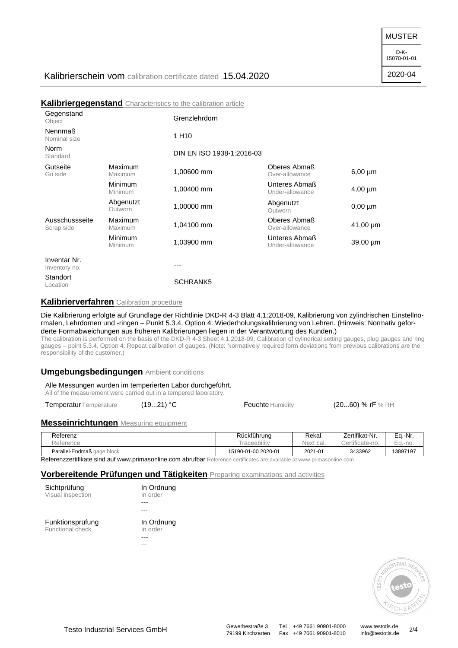MUSTER

D-K-15070-01-01

2020-04

## Kalibrierschein vom calibration certificate dated 15.04.2020

**Kalibriergegenstand** Characteristics to the calibration article

|                                |                      | <b>INGHINI IGI GGGGGHƏLGI IN</b> OHAFAUGHSINS IV IHG VAIIDFAINUT AFIING |                                  |               |
|--------------------------------|----------------------|-------------------------------------------------------------------------|----------------------------------|---------------|
| Gegenstand<br>Object           |                      | Grenzlehrdorn                                                           |                                  |               |
| <b>Nennmaß</b><br>Nominal size |                      | 1 H <sub>10</sub>                                                       |                                  |               |
| Norm<br>Standard               |                      | DIN EN ISO 1938-1:2016-03                                               |                                  |               |
| Gutseite<br>Go side            | Maximum<br>Maximum   | 1,00600 mm                                                              | Oberes Abmaß<br>Over-allowance   | $6,00 \mu m$  |
|                                | Minimum<br>Minimum   | 1,00400 mm                                                              | Unteres Abmaß<br>Under-allowance | $4,00 \mu m$  |
|                                | Abgenutzt<br>Outworn | 1,00000 mm                                                              | Abgenutzt<br>Outworn             | $0,00 \mu m$  |
| Ausschussseite<br>Scrap side   | Maximum<br>Maximum   | 1,04100 mm                                                              | Oberes Abmaß<br>Over-allowance   | $41,00 \mu m$ |
|                                | Minimum<br>Minimum   | 1,03900 mm                                                              | Unteres Abmaß<br>Under-allowance | 39,00 µm      |
| Inventar Nr.<br>Inventory no.  |                      | ---                                                                     |                                  |               |
| Standort<br>Location           |                      | <b>SCHRANK5</b>                                                         |                                  |               |

#### **Kalibrierverfahren** Calibration procedure

Die Kalibrierung erfolgte auf Grundlage der Richtlinie DKD-R 4-3 Blatt 4.1:2018-09, Kalibrierung von zylindrischen Einstellnormalen, Lehrdornen und -ringen – Punkt 5.3.4, Option 4: Wiederholungskalibrierung von Lehren. (Hinweis: Normativ geforderte Formabweichungen aus früheren Kalibrierungen liegen in der Verantwortung des Kunden.)

The calibration is performed on the basis of the DKD-R 4-3 Sheet 4.1:2018-09, Calibration of cylindrical setting gauges, plug gauges and ring gauges – point 5.3.4, Option 4: Repeat calibration of gauges. (Note: Normatively required form deviations from previous calibrations are the responsibility of the customer.)

#### **Umgebungsbedingungen** Ambient conditions

### Alle Messungen wurden im temperierten Labor durchgeführt.

All of the measurement were carried out in a tempered laboratory.

Temperatur Temperature (19...21) °C Feuchte Humidity (20...60) % rF % RH

#### **Messeinrichtungen** Measuring equipment

| Referenz                   | Rückführung         | Rekal.    | Zertifikat-Nr.  | Ea.-Nr.  |
|----------------------------|---------------------|-----------|-----------------|----------|
| Reference                  | raceability         | Next cal. | Certificate-no. | Ea.-no.  |
| Parallel-Endmaß gage block | 15190-01-00 2020-01 | 2021-01   | 3433962         | 13897197 |

Referenzzertifikate sind auf www.primasonline.com abrufbar Reference certificates are available at www.primasonline.com

#### **Vorbereitende Prüfungen und Tätigkeiten** Preparing examinations and activities

| Sichtprüfung      |  |
|-------------------|--|
| Visual inspection |  |

Funktionsprüfung Functional check

In Ordnung In order --- --- In Ordnung

In order ---

---



Testo Industrial Services GmbH<br>79199 Kirchzarten Fax +49 7661 90901-8010 info@testotis.de 2/4 79199 Kirchzarten Fax +49 7661 90901-8010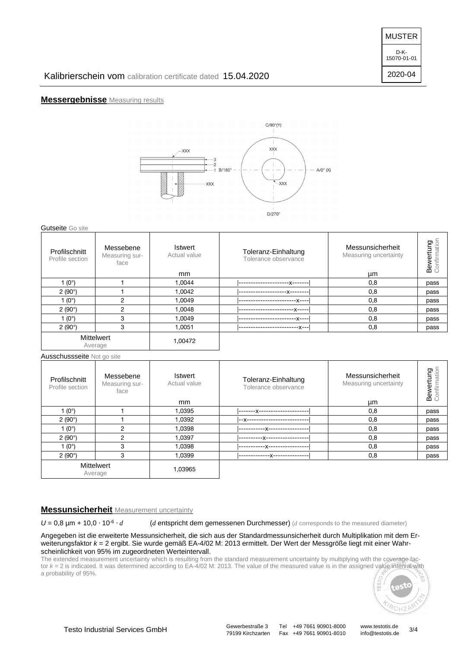15070-01-01

2020-04

## Kalibrierschein vom calibration certificate dated 15.04.2020

## **Messergebnisse** Measuring results



#### Gutseite Go site

| Profilschnitt<br>Profile section | Messebene<br>Measuring sur-<br>face | <b>Istwert</b><br>Actual value<br><sub>mm</sub> | Toleranz-Einhaltung<br>Tolerance observance | Messunsicherheit<br>Measuring uncertainty<br>μm | onfirmation<br>Bewertung |
|----------------------------------|-------------------------------------|-------------------------------------------------|---------------------------------------------|-------------------------------------------------|--------------------------|
| $(0^{\circ})$                    |                                     | 1.0044                                          | -x-------                                   | 0,8                                             | pass                     |
| 2(90°)                           |                                     | 1.0042                                          |                                             | 0,8                                             | pass                     |
| $(0^{\circ})$                    | 2                                   | 1.0049                                          | $-X---$                                     | 0,8                                             | pass                     |
| 2(90°)                           | $\overline{2}$                      | 1.0048                                          | --X-----                                    | 0,8                                             | pass                     |
| (0°)                             | 3                                   | 1,0049                                          | -X----                                      | 0,8                                             | pass                     |
| 2(90°)                           | 3                                   | 1,0051                                          | --x---<br>------------                      | 0,8                                             | pass                     |
|                                  | <b>Mittelwert</b><br>Average        | 1,00472                                         |                                             |                                                 |                          |

Ausschussseite Not go site

| Profilschnitt<br>Profile section | Messebene<br>Measuring sur-<br>face | <b>Istwert</b><br>Actual value<br>mm | Toleranz-Einhaltung<br>Tolerance observance | Messunsicherheit<br>Measuring uncertainty<br>μm | Bewertung<br>pnfirmati |
|----------------------------------|-------------------------------------|--------------------------------------|---------------------------------------------|-------------------------------------------------|------------------------|
| 1 $(0^{\circ})$                  |                                     | 1.0395                               | -------X--------------------                | 0,8                                             | pass                   |
| 2(90°)                           |                                     | 1,0392                               | --X-------------------                      | 0,8                                             | pass                   |
| 1 $(0^{\circ})$                  | 2                                   | 1,0398                               | ---------------------------------           | 0,8                                             | pass                   |
| 2(90°)                           | っ                                   | 1.0397                               | -----------X-------------------             | 0,8                                             | pass                   |
| 1 $(0^{\circ})$                  | 3                                   | 1,0398                               | .-----X-----------------                    | 0,8                                             | pass                   |
| 2(90°)                           | 3                                   | 1,0399                               | --x--------------                           | 0,8                                             | pass                   |
|                                  | Mittelwert<br>Average               | 1,03965                              |                                             |                                                 |                        |

### **Messunsicherheit** Measurement uncertainty

 $U = 0.8$  µm + 10,0  $\cdot$  10<sup>-6</sup>  $\cdot$  d (*d* entspricht dem gemessenen Durchmesser) (*d* corresponds to the measured diameter)

Angegeben ist die erweiterte Messunsicherheit, die sich aus der Standardmessunsicherheit durch Multiplikation mit dem Erweiterungsfaktor  $k = 2$  ergibt. Sie wurde gemäß EA-4/02 M: 2013 ermittelt. Der Wert der Messgröße liegt mit einer Wahrscheinlichkeit von 95% im zugeordneten Werteintervall.

The extended measurement uncertainty which is resulting from the standard measurement uncertainty by multiplying with the coverage factor k = 2 is indicated. It was determined according to EA-4/02 M: 2013. The value of the measured value is in the assigned value interval with a probability of 95%.

Fax +49 7661 90901-8010